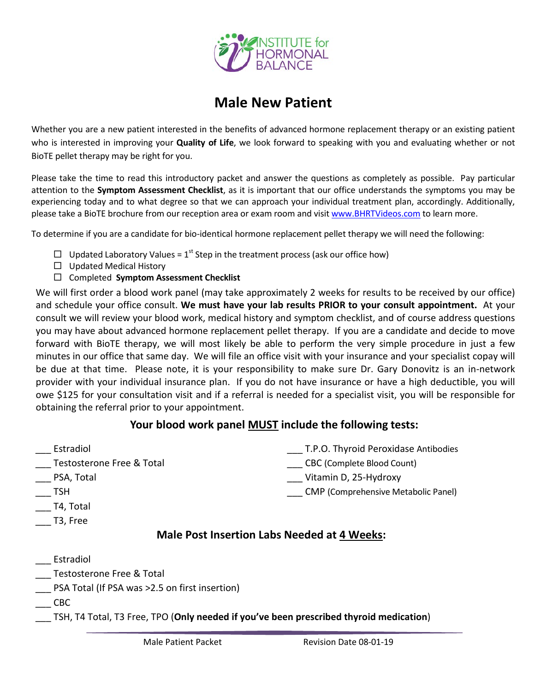

# **Male New Patient**

Whether you are a new patient interested in the benefits of advanced hormone replacement therapy or an existing patient who is interested in improving your **Quality of Life**, we look forward to speaking with you and evaluating whether or not BioTE pellet therapy may be right for you.

Please take the time to read this introductory packet and answer the questions as completely as possible. Pay particular attention to the **Symptom Assessment Checklist**, as it is important that our office understands the symptoms you may be experiencing today and to what degree so that we can approach your individual treatment plan, accordingly. Additionally, please take a BioTE brochure from our reception area or exam room and visi[t www.BHRTVideos.com](http://www.bhrtvideos.com/) to learn more.

To determine if you are a candidate for bio-identical hormone replacement pellet therapy we will need the following:

- $\Box$  Updated Laboratory Values = 1<sup>st</sup> Step in the treatment process (ask our office how)
- $\Box$  Updated Medical History
- Completed **Symptom Assessment Checklist**

We will first order a blood work panel (may take approximately 2 weeks for results to be received by our office) and schedule your office consult. **We must have your lab results PRIOR to your consult appointment.** At your consult we will review your blood work, medical history and symptom checklist, and of course address questions you may have about advanced hormone replacement pellet therapy. If you are a candidate and decide to move forward with BioTE therapy, we will most likely be able to perform the very simple procedure in just a few minutes in our office that same day. We will file an office visit with your insurance and your specialist copay will be due at that time. Please note, it is your responsibility to make sure Dr. Gary Donovitz is an in-network provider with your individual insurance plan. If you do not have insurance or have a high deductible, you will owe \$125 for your consultation visit and if a referral is needed for a specialist visit, you will be responsible for obtaining the referral prior to your appointment.

### **Your blood work panel MUST include the following tests:**

\_\_\_ Estradiol \_\_\_ Testosterone Free & Total \_\_\_ PSA, Total  $\overline{\phantom{0}}$  TSH \_\_\_ T4, Total \_\_\_ T3, Free \_\_\_ T.P.O. Thyroid Peroxidase Antibodies \_\_\_ CBC (Complete Blood Count) \_\_\_ Vitamin D, 25-Hydroxy \_\_\_ CMP (Comprehensive Metabolic Panel) **Male Post Insertion Labs Needed at 4 Weeks:** 

### **Estradiol**

- \_\_\_ Testosterone Free & Total
- \_\_\_ PSA Total (If PSA was >2.5 on first insertion)
- $\overline{\phantom{0}}$  CBC
- \_\_\_ TSH, T4 Total, T3 Free, TPO (**Only needed if you've been prescribed thyroid medication**)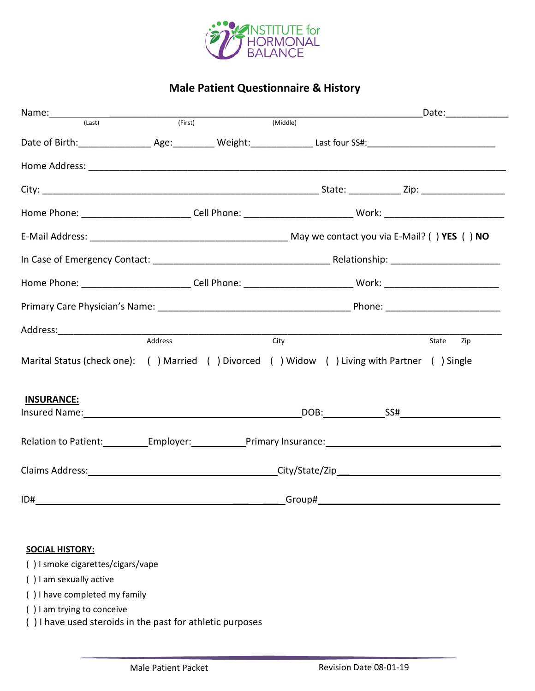

## **Male Patient Questionnaire & History**

|                                                                                                                                                                                                                                |         |  |                                                                                                                | <u> 1980 - Johann Barn, mars eta bainar eta idazlea (</u> | _Date:_______________ |
|--------------------------------------------------------------------------------------------------------------------------------------------------------------------------------------------------------------------------------|---------|--|----------------------------------------------------------------------------------------------------------------|-----------------------------------------------------------|-----------------------|
| (last)                                                                                                                                                                                                                         | (First) |  | (Middle)                                                                                                       |                                                           |                       |
|                                                                                                                                                                                                                                |         |  |                                                                                                                |                                                           |                       |
|                                                                                                                                                                                                                                |         |  |                                                                                                                |                                                           |                       |
|                                                                                                                                                                                                                                |         |  |                                                                                                                |                                                           |                       |
| Home Phone: ___________________________Cell Phone: ____________________________Work: _________________________                                                                                                                 |         |  |                                                                                                                |                                                           |                       |
|                                                                                                                                                                                                                                |         |  |                                                                                                                |                                                           |                       |
|                                                                                                                                                                                                                                |         |  |                                                                                                                |                                                           |                       |
|                                                                                                                                                                                                                                |         |  | Home Phone: ___________________________Cell Phone: ______________________________ Work: ______________________ |                                                           |                       |
|                                                                                                                                                                                                                                |         |  |                                                                                                                |                                                           |                       |
|                                                                                                                                                                                                                                | Address |  |                                                                                                                |                                                           |                       |
| Marital Status (check one): ( ) Married ( ) Divorced ( ) Widow ( ) Living with Partner ( ) Single                                                                                                                              |         |  | City                                                                                                           |                                                           | Zip<br>State          |
| <b>INSURANCE:</b>                                                                                                                                                                                                              |         |  |                                                                                                                |                                                           |                       |
| Insured Name: Name and Name and Name and Name and Name and Name and Name and Name and Name and Name and Name and Name and Name and Name and Name and Name and Name and Name and Name and Name and Name and Name and Name and N |         |  |                                                                                                                |                                                           |                       |
| Relation to Patient: Employer: Primary Insurance: Employer: Primary Insurance:                                                                                                                                                 |         |  |                                                                                                                |                                                           |                       |
| Claims Address: Claims Address: City/State/Zip                                                                                                                                                                                 |         |  |                                                                                                                |                                                           |                       |
| ID#                                                                                                                                                                                                                            |         |  |                                                                                                                |                                                           |                       |

#### **SOCIAL HISTORY:**

( ) I smoke cigarettes/cigars/vape

( ) I am sexually active

( ) I have completed my family

( ) I am trying to conceive

( ) I have used steroids in the past for athletic purposes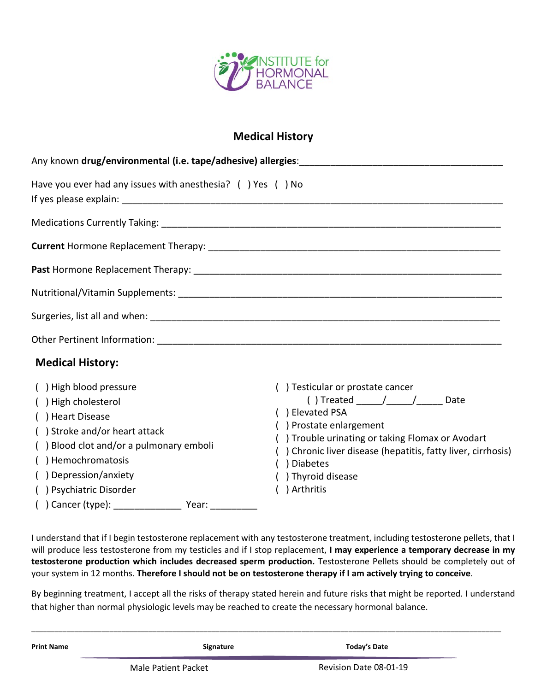

### **Medical History**

| Have you ever had any issues with anesthesia? $( )$ Yes $( )$ No                                                                                                                                                                                                                       |                                                                                                                                                                                                                                                                                                      |
|----------------------------------------------------------------------------------------------------------------------------------------------------------------------------------------------------------------------------------------------------------------------------------------|------------------------------------------------------------------------------------------------------------------------------------------------------------------------------------------------------------------------------------------------------------------------------------------------------|
|                                                                                                                                                                                                                                                                                        |                                                                                                                                                                                                                                                                                                      |
| <b>Medical History:</b><br>() High blood pressure<br>() High cholesterol<br>() Heart Disease<br>() Stroke and/or heart attack<br>() Blood clot and/or a pulmonary emboli<br>() Hemochromatosis<br>() Depression/anxiety<br>() Psychiatric Disorder<br>() Cancer (type): ______________ | () Testicular or prostate cancer<br>() Treated ___________________________ Date<br>( ) Elevated PSA<br>) Prostate enlargement<br>) Trouble urinating or taking Flomax or Avodart<br>Chronic liver disease (hepatitis, fatty liver, cirrhosis)<br><b>Diabetes</b><br>) Thyroid disease<br>) Arthritis |

I understand that if I begin testosterone replacement with any testosterone treatment, including testosterone pellets, that I will produce less testosterone from my testicles and if I stop replacement, **I may experience a temporary decrease in my testosterone production which includes decreased sperm production.** Testosterone Pellets should be completely out of your system in 12 months. **Therefore I should not be on testosterone therapy if I am actively trying to conceive**.

By beginning treatment, I accept all the risks of therapy stated herein and future risks that might be reported. I understand that higher than normal physiologic levels may be reached to create the necessary hormonal balance.

| <b>Print Name</b> | Signature           | Today's Date           |
|-------------------|---------------------|------------------------|
|                   | Male Patient Packet | Revision Date 08-01-19 |

\_\_\_\_\_\_\_\_\_\_\_\_\_\_\_\_\_\_\_\_\_\_\_\_\_\_\_\_\_\_\_\_\_\_\_\_\_\_\_\_\_\_\_\_\_\_\_\_\_\_\_\_\_\_\_\_\_\_\_\_\_\_\_\_\_\_\_\_\_\_\_\_\_\_\_\_\_\_\_\_\_\_\_\_\_\_\_\_\_\_\_\_\_\_\_\_\_\_\_\_\_\_\_\_\_\_\_\_\_\_\_\_\_\_\_\_\_\_\_\_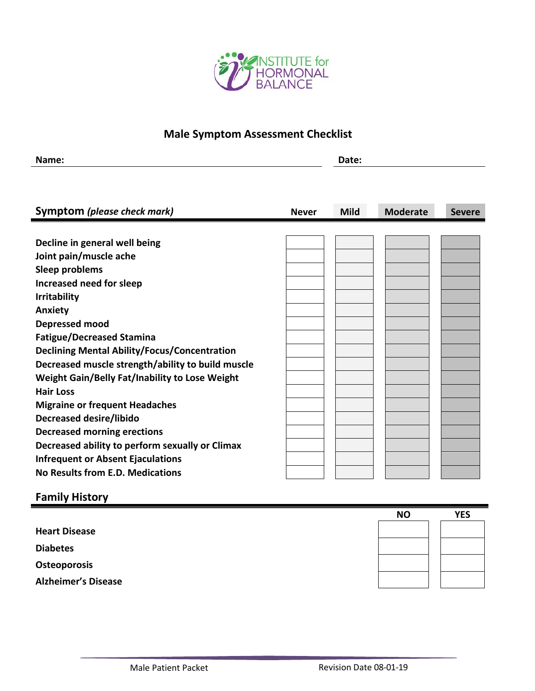

## **Male Symptom Assessment Checklist**

| Name:<br>_________ | Date: |
|--------------------|-------|
|                    |       |

| Symptom (please check mark)                           | <b>Never</b> | <b>Mild</b> | <b>Moderate</b> | <b>Severe</b> |
|-------------------------------------------------------|--------------|-------------|-----------------|---------------|
|                                                       |              |             |                 |               |
| Decline in general well being                         |              |             |                 |               |
| Joint pain/muscle ache                                |              |             |                 |               |
| Sleep problems                                        |              |             |                 |               |
| Increased need for sleep                              |              |             |                 |               |
| <b>Irritability</b>                                   |              |             |                 |               |
| <b>Anxiety</b>                                        |              |             |                 |               |
| Depressed mood                                        |              |             |                 |               |
| <b>Fatigue/Decreased Stamina</b>                      |              |             |                 |               |
| <b>Declining Mental Ability/Focus/Concentration</b>   |              |             |                 |               |
| Decreased muscle strength/ability to build muscle     |              |             |                 |               |
| <b>Weight Gain/Belly Fat/Inability to Lose Weight</b> |              |             |                 |               |
| <b>Hair Loss</b>                                      |              |             |                 |               |
| <b>Migraine or frequent Headaches</b>                 |              |             |                 |               |
| <b>Decreased desire/libido</b>                        |              |             |                 |               |
| <b>Decreased morning erections</b>                    |              |             |                 |               |
| Decreased ability to perform sexually or Climax       |              |             |                 |               |
| <b>Infrequent or Absent Ejaculations</b>              |              |             |                 |               |
| No Results from E.D. Medications                      |              |             |                 |               |

## **Family History**

|                            | <b>NO</b> | <b>YES</b> |
|----------------------------|-----------|------------|
| <b>Heart Disease</b>       |           |            |
| <b>Diabetes</b>            |           |            |
| Osteoporosis               |           |            |
| <b>Alzheimer's Disease</b> |           |            |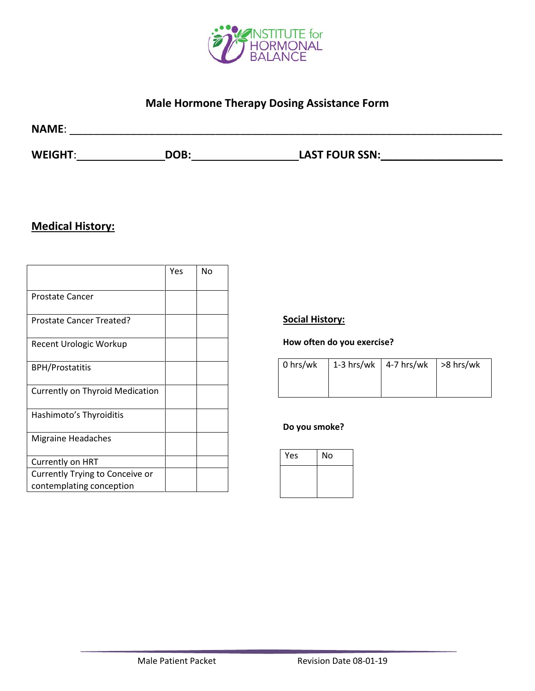

## **Male Hormone Therapy Dosing Assistance Form**

| <b>NAME:</b>   |      |                       |  |
|----------------|------|-----------------------|--|
| <b>WEIGHT:</b> | DOB: | <b>LAST FOUR SSN:</b> |  |

## **Medical History:**

|                                        | Yes | No |
|----------------------------------------|-----|----|
| Prostate Cancer                        |     |    |
| Prostate Cancer Treated?               |     |    |
| Recent Urologic Workup                 |     |    |
| <b>BPH/Prostatitis</b>                 |     |    |
| <b>Currently on Thyroid Medication</b> |     |    |
| Hashimoto's Thyroiditis                |     |    |
| <b>Migraine Headaches</b>              |     |    |
| Currently on HRT                       |     |    |
| Currently Trying to Conceive or        |     |    |
| contemplating conception               |     |    |

### **Social History:**

### **How often do you exercise?**

|  | 0 hrs/wk   1-3 hrs/wk   4-7 hrs/wk   >8 hrs/wk |  |
|--|------------------------------------------------|--|
|  |                                                |  |

#### **Do you smoke?**

| Yes | No |
|-----|----|
|     |    |
|     |    |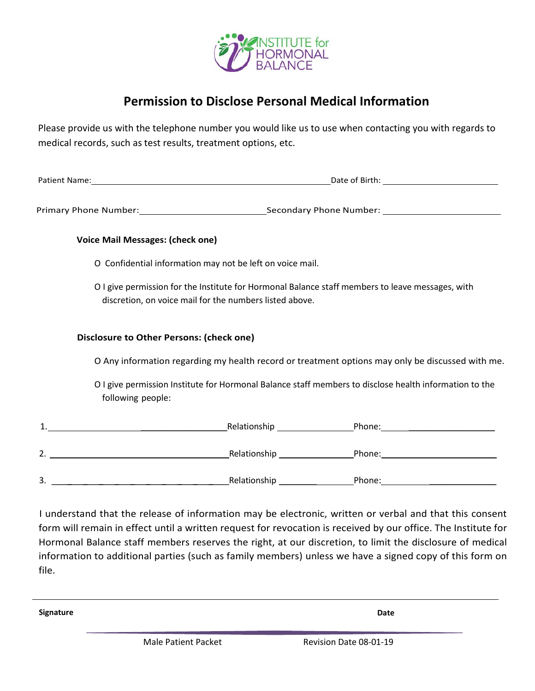

## **Permission to Disclose Personal Medical Information**

Please provide us with the telephone number you would like us to use when contacting you with regards to medical records, such as test results, treatment options, etc.

Patient Name: Date of Birth:

Primary Phone Number: Secondary Phone Number: Secondary Phone Number:

#### **Voice Mail Messages: (check one)**

- O Confidential information may not be left on voice mail.
- O I give permission for the Institute for Hormonal Balance staff members to leave messages, with discretion, on voice mail for the numbers listed above.

#### **Disclosure to Other Persons: (check one)**

O Any information regarding my health record or treatment options may only be discussed with me.

O I give permission Institute for Hormonal Balance staff members to disclose health information to the following people:

| ◢<br><u>. на с</u> | Relationship | Phone: |
|--------------------|--------------|--------|
|                    |              |        |
| 2.                 | Relationship | Phone: |
|                    |              |        |
| 3.                 | Relationship | Phone: |

I understand that the release of information may be electronic, written or verbal and that this consent form will remain in effect until a written request for revocation is received by our office. The Institute for Hormonal Balance staff members reserves the right, at our discretion, to limit the disclosure of medical information to additional parties (such as family members) unless we have a signed copy of this form on file.

**Signature Date**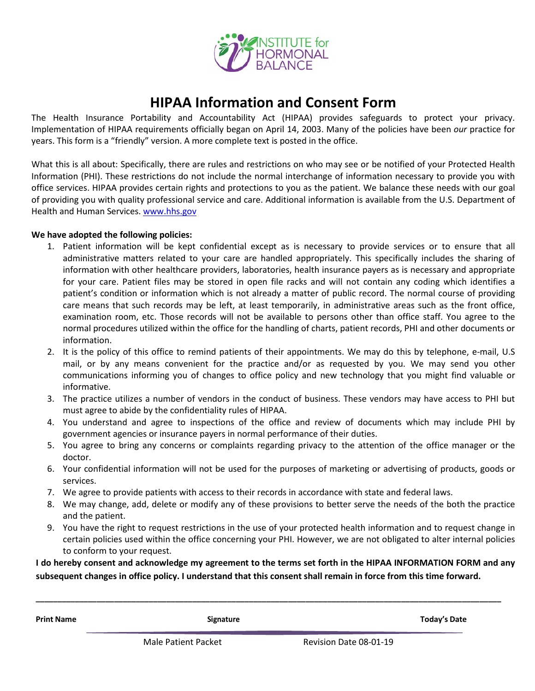

## **HIPAA Information and Consent Form**

The Health Insurance Portability and Accountability Act (HIPAA) provides safeguards to protect your privacy. Implementation of HIPAA requirements officially began on April 14, 2003. Many of the policies have been *our* practice for years. This form is a "friendly" version. A more complete text is posted in the office.

What this is all about: Specifically, there are rules and restrictions on who may see or be notified of your Protected Health Information (PHI). These restrictions do not include the normal interchange of information necessary to provide you with office services. HIPAA provides certain rights and protections to you as the patient. We balance these needs with our goal of providing you with quality professional service and care. Additional information is available from the U.S. Department of Health and Human Services. [www.hhs.gov](http://www.hhs.gov/) 

#### **We have adopted the following policies:**

- 1. Patient information will be kept confidential except as is necessary to provide services or to ensure that all administrative matters related to your care are handled appropriately. This specifically includes the sharing of information with other healthcare providers, laboratories, health insurance payers as is necessary and appropriate for your care. Patient files may be stored in open file racks and will not contain any coding which identifies a patient's condition or information which is not already a matter of public record. The normal course of providing care means that such records may be left, at least temporarily, in administrative areas such as the front office, examination room, etc. Those records will not be available to persons other than office staff. You agree to the normal procedures utilized within the office for the handling of charts, patient records, PHI and other documents or information.
- 2. It is the policy of this office to remind patients of their appointments. We may do this by telephone, e-mail, U.S mail, or by any means convenient for the practice and/or as requested by you. We may send you other communications informing you of changes to office policy and new technology that you might find valuable or informative.
- 3. The practice utilizes a number of vendors in the conduct of business. These vendors may have access to PHI but must agree to abide by the confidentiality rules of HIPAA.
- 4. You understand and agree to inspections of the office and review of documents which may include PHI by government agencies or insurance payers in normal performance of their duties.
- 5. You agree to bring any concerns or complaints regarding privacy to the attention of the office manager or the doctor.
- 6. Your confidential information will not be used for the purposes of marketing or advertising of products, goods or services.
- 7. We agree to provide patients with access to their records in accordance with state and federal laws.
- 8. We may change, add, delete or modify any of these provisions to better serve the needs of the both the practice and the patient.
- 9. You have the right to request restrictions in the use of your protected health information and to request change in certain policies used within the office concerning your PHI. However, we are not obligated to alter internal policies to conform to your request.

**I do hereby consent and acknowledge my agreement to the terms set forth in the HIPAA INFORMATION FORM and any subsequent changes in office policy. I understand that this consent shall remain in force from this time forward.**

**\_\_\_\_\_\_\_\_\_\_\_\_\_\_\_\_\_\_\_\_\_\_\_\_\_\_\_\_\_\_\_\_\_\_\_\_\_\_\_\_\_\_\_\_\_\_\_\_\_\_\_\_\_\_\_\_\_\_\_\_\_\_\_\_\_\_\_\_\_\_\_\_\_\_\_\_\_\_\_\_\_\_\_\_\_\_\_\_\_\_\_\_\_\_\_\_\_\_\_\_\_\_\_\_\_\_\_**

**Print Name Signature Today's Date**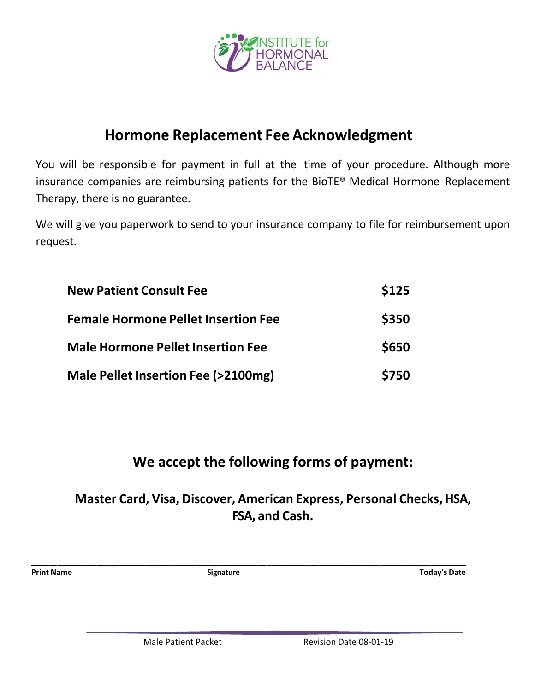

# **Hormone Replacement Fee Acknowledgment**

You will be responsible for payment in full at the time of your procedure. Although more insurance companies are reimbursing patients for the BioTE® Medical Hormone Replacement Therapy, there is no guarantee.

We will give you paperwork to send to your insurance company to file for reimbursement upon request.

| <b>New Patient Consult Fee</b>                | <b>\$125</b> |
|-----------------------------------------------|--------------|
| <b>Female Hormone Pellet Insertion Fee</b>    | \$350        |
| <b>Male Hormone Pellet Insertion Fee</b>      | \$650        |
| <b>Male Pellet Insertion Fee (&gt;2100mg)</b> | \$750        |

# **We accept the following forms of payment:**

# **Master Card, Visa, Discover, American Express, Personal Checks, HSA, FSA, and Cash.**

**\_\_\_\_\_\_\_\_\_\_\_\_\_\_\_\_\_\_\_\_\_\_\_\_\_\_\_\_\_\_\_\_\_\_\_\_\_\_\_\_\_\_\_\_\_\_\_\_\_\_\_\_\_\_\_\_\_\_\_\_\_\_\_\_\_\_\_\_\_\_\_\_\_\_\_\_\_\_\_\_\_\_\_\_\_\_\_\_\_\_\_\_\_\_\_\_\_\_\_\_**

**Print Name Signature Today's Date**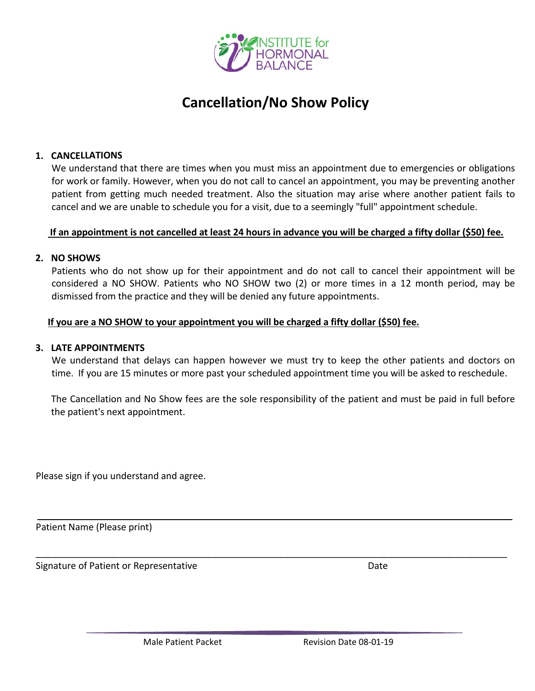

# **Cancellation/No Show Policy**

#### **1. CANCELLATIONS**

We understand that there are times when you must miss an appointment due to emergencies or obligations for work or family. However, when you do not call to cancel an appointment, you may be preventing another patient from getting much needed treatment. Also the situation may arise where another patient fails to cancel and we are unable to schedule you for a visit, due to a seemingly "full" appointment schedule.

#### **If an appointment is not cancelled at least 24 hours in advance you will be charged a fifty dollar (\$50) fee.**

#### **2. NO SHOWS**

Patients who do not show up for their appointment and do not call to cancel their appointment will be considered a NO SHOW. Patients who NO SHOW two (2) or more times in a 12 month period, may be dismissed from the practice and they will be denied any future appointments.

#### **If you are a NO SHOW to your appointment you will be charged a fifty dollar (\$50) fee.**

#### **3. LATE APPOINTMENTS**

We understand that delays can happen however we must try to keep the other patients and doctors on time.If you are 15 minutes or more past your scheduled appointment time you will be asked to reschedule.

The Cancellation and No Show fees are the sole responsibility of the patient and must be paid in full before the patient's next appointment.

\_\_\_\_\_\_\_\_\_\_\_\_\_\_\_\_\_\_\_\_\_\_\_\_\_\_\_\_\_\_\_\_\_\_\_\_\_\_\_\_\_\_\_\_\_\_\_\_\_\_\_\_\_\_\_\_\_\_\_\_\_\_\_\_\_\_\_\_\_\_\_\_\_\_\_\_\_\_\_\_\_\_\_\_\_\_\_\_\_\_\_

Please sign if you understand and agree.

Patient Name (Please print)

Signature of Patient or Representative **Date is a struckle of Patient Accord Pate** Date